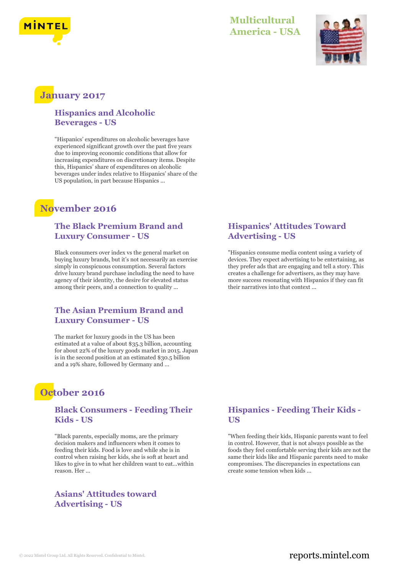



### **January 2017**

#### **Hispanics and Alcoholic Beverages - US**

"Hispanics' expenditures on alcoholic beverages have experienced significant growth over the past five years due to improving economic conditions that allow for increasing expenditures on discretionary items. Despite this, Hispanics' share of expenditures on alcoholic beverages under index relative to Hispanics' share of the US population, in part because Hispanics ...

# **November 2016**

#### **The Black Premium Brand and Luxury Consumer - US**

Black consumers over index vs the general market on buying luxury brands, but it's not necessarily an exercise simply in conspicuous consumption. Several factors drive luxury brand purchase including the need to have agency of their identity, the desire for elevated status among their peers, and a connection to quality ...

#### **The Asian Premium Brand and Luxury Consumer - US**

The market for luxury goods in the US has been estimated at a value of about \$35.3 billion, accounting for about 22% of the luxury goods market in 2015. Japan is in the second position at an estimated \$30.5 billion and a 19% share, followed by Germany and ...

# **October 2016**

#### **Black Consumers - Feeding Their Kids - US**

"Black parents, especially moms, are the primary decision makers and influencers when it comes to feeding their kids. Food is love and while she is in control when raising her kids, she is soft at heart and likes to give in to what her children want to eat…within reason. Her ...

#### **Asians' Attitudes toward Advertising - US**

#### **Hispanics' Attitudes Toward Advertising - US**

"Hispanics consume media content using a variety of devices. They expect advertising to be entertaining, as they prefer ads that are engaging and tell a story. This creates a challenge for advertisers, as they may have more success resonating with Hispanics if they can fit their narratives into that context ...

#### **Hispanics - Feeding Their Kids - US**

"When feeding their kids, Hispanic parents want to feel in control. However, that is not always possible as the foods they feel comfortable serving their kids are not the same their kids like and Hispanic parents need to make compromises. The discrepancies in expectations can create some tension when kids ...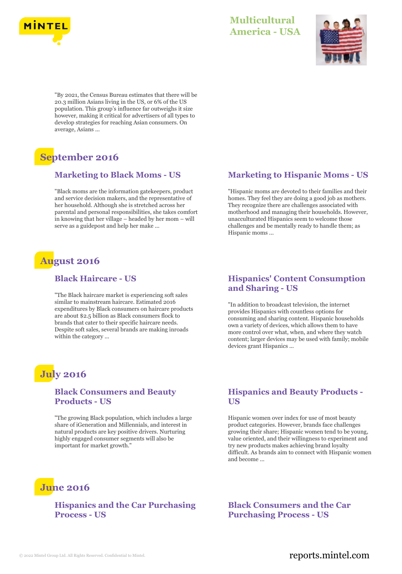



"By 2021, the Census Bureau estimates that there will be 20.3 million Asians living in the US, or 6% of the US population. This group's influence far outweighs it size however, making it critical for advertisers of all types to develop strategies for reaching Asian consumers. On average, Asians ...

# **September 2016**

#### **Marketing to Black Moms - US**

"Black moms are the information gatekeepers, product and service decision makers, and the representative of her household. Although she is stretched across her parental and personal responsibilities, she takes comfort in knowing that her village – headed by her mom – will serve as a guidepost and help her make ...

# **August 2016**

#### **Black Haircare - US**

"The Black haircare market is experiencing soft sales similar to mainstream haircare. Estimated 2016 expenditures by Black consumers on haircare products are about \$2.5 billion as Black consumers flock to brands that cater to their specific haircare needs. Despite soft sales, several brands are making inroads within the category ...

# **July 2016**

#### **Black Consumers and Beauty Products - US**

"The growing Black population, which includes a large share of iGeneration and Millennials, and interest in natural products are key positive drivers. Nurturing highly engaged consumer segments will also be important for market growth."

# **June 2016**

#### **Hispanics and the Car Purchasing Process - US**

### **Marketing to Hispanic Moms - US**

"Hispanic moms are devoted to their families and their homes. They feel they are doing a good job as mothers. They recognize there are challenges associated with motherhood and managing their households. However, unacculturated Hispanics seem to welcome those challenges and be mentally ready to handle them; as Hispanic moms ...

#### **Hispanics' Content Consumption and Sharing - US**

"In addition to broadcast television, the internet provides Hispanics with countless options for consuming and sharing content. Hispanic households own a variety of devices, which allows them to have more control over what, when, and where they watch content; larger devices may be used with family; mobile devices grant Hispanics ...

#### **Hispanics and Beauty Products - US**

Hispanic women over index for use of most beauty product categories. However, brands face challenges growing their share; Hispanic women tend to be young, value oriented, and their willingness to experiment and try new products makes achieving brand loyalty difficult. As brands aim to connect with Hispanic women and become ...

**Black Consumers and the Car Purchasing Process - US**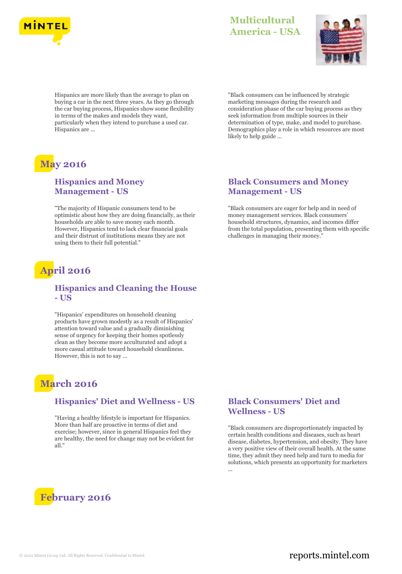



Hispanics are more likely than the average to plan on buying a car in the next three years. As they go through the car buying process, Hispanics show some flexibility in terms of the makes and models they want, particularly when they intend to purchase a used car. Hispanics are ...

# **May 2016**

#### **Hispanics and Money Management - US**

"The majority of Hispanic consumers tend to be optimistic about how they are doing financially, as their households are able to save money each month. However, Hispanics tend to lack clear financial goals and their distrust of institutions means they are not using them to their full potential."

# **April 2016**

#### **Hispanics and Cleaning the House - US**

"Hispanics' expenditures on household cleaning products have grown modestly as a result of Hispanics' attention toward value and a gradually diminishing sense of urgency for keeping their homes spotlessly clean as they become more acculturated and adopt a more casual attitude toward household cleanliness. However, this is not to say ...

# **March 2016**

#### **Hispanics' Diet and Wellness - US**

"Having a healthy lifestyle is important for Hispanics. More than half are proactive in terms of diet and exercise; however, since in general Hispanics feel they are healthy, the need for change may not be evident for all."



"Black consumers can be influenced by strategic marketing messages during the research and consideration phase of the car buying process as they seek information from multiple sources in their determination of type, make, and model to purchase. Demographics play a role in which resources are most likely to help guide ...

#### **Black Consumers and Money Management - US**

"Black consumers are eager for help and in need of money management services. Black consumers' household structures, dynamics, and incomes differ from the total population, presenting them with specific challenges in managing their money."

#### **Black Consumers' Diet and Wellness - US**

"Black consumers are disproportionately impacted by certain health conditions and diseases, such as heart disease, diabetes, hypertension, and obesity. They have a very positive view of their overall health. At the same time, they admit they need help and turn to media for solutions, which presents an opportunity for marketers ...